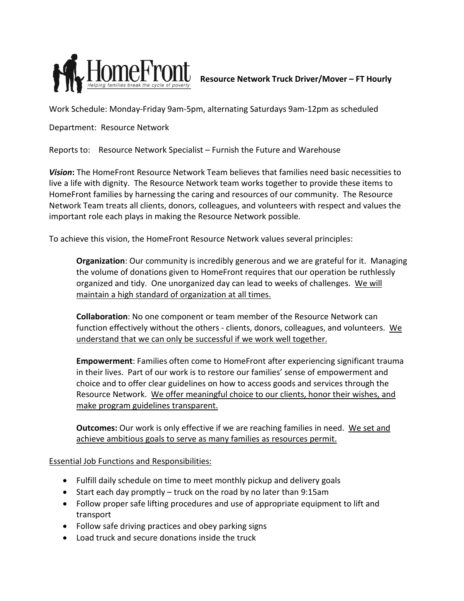

Work Schedule: Monday-Friday 9am-5pm, alternating Saturdays 9am-12pm as scheduled

Department: Resource Network

Reports to: Resource Network Specialist – Furnish the Future and Warehouse

*Vision***:** The HomeFront Resource Network Team believes that families need basic necessities to live a life with dignity. The Resource Network team works together to provide these items to HomeFront families by harnessing the caring and resources of our community. The Resource Network Team treats all clients, donors, colleagues, and volunteers with respect and values the important role each plays in making the Resource Network possible.

To achieve this vision, the HomeFront Resource Network values several principles:

**Organization**: Our community is incredibly generous and we are grateful for it. Managing the volume of donations given to HomeFront requires that our operation be ruthlessly organized and tidy. One unorganized day can lead to weeks of challenges. We will maintain a high standard of organization at all times.

**Collaboration**: No one component or team member of the Resource Network can function effectively without the others - clients, donors, colleagues, and volunteers. We understand that we can only be successful if we work well together.

**Empowerment**: Families often come to HomeFront after experiencing significant trauma in their lives. Part of our work is to restore our families' sense of empowerment and choice and to offer clear guidelines on how to access goods and services through the Resource Network. We offer meaningful choice to our clients, honor their wishes, and make program guidelines transparent.

**Outcomes:** Our work is only effective if we are reaching families in need. We set and achieve ambitious goals to serve as many families as resources permit.

Essential Job Functions and Responsibilities:

- Fulfill daily schedule on time to meet monthly pickup and delivery goals
- Start each day promptly truck on the road by no later than 9:15am
- Follow proper safe lifting procedures and use of appropriate equipment to lift and transport
- Follow safe driving practices and obey parking signs
- Load truck and secure donations inside the truck